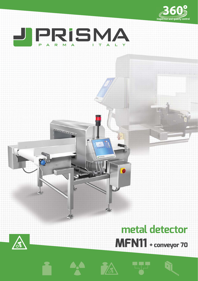



# **metal detector MFN11 + conveyor 70**











÷